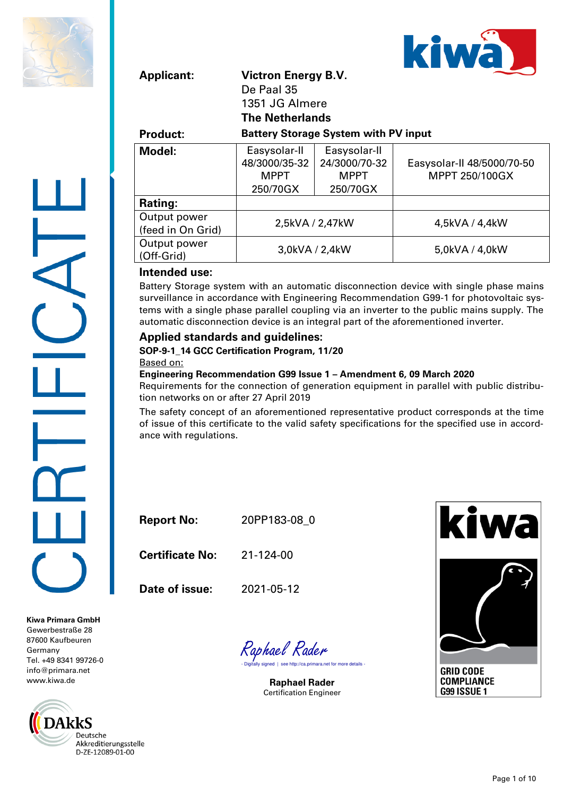



| <b>Applicant:</b>                 | <b>Victron Energy B.V.</b><br>De Paal 35<br>1351 JG Almere<br><b>The Netherlands</b> |                                                          |                                              |  |  |  |  |
|-----------------------------------|--------------------------------------------------------------------------------------|----------------------------------------------------------|----------------------------------------------|--|--|--|--|
| <b>Product:</b>                   | <b>Battery Storage System with PV input</b>                                          |                                                          |                                              |  |  |  |  |
| Model:                            | Easysolar-II<br>48/3000/35-32<br><b>MPPT</b><br>250/70GX                             | Easysolar-II<br>24/3000/70-32<br><b>MPPT</b><br>250/70GX | Easysolar-II 48/5000/70-50<br>MPPT 250/100GX |  |  |  |  |
| Rating:                           |                                                                                      |                                                          |                                              |  |  |  |  |
| Output power<br>(feed in On Grid) |                                                                                      | 2,5kVA / 2,47kW                                          | 4,5kVA / 4,4kW                               |  |  |  |  |
| Output power<br>(Off-Grid)        |                                                                                      | 3,0kVA / 2,4kW                                           | 5,0kVA / 4,0kW                               |  |  |  |  |

#### **Intended use:**

Battery Storage system with an automatic disconnection device with single phase mains surveillance in accordance with Engineering Recommendation G99-1 for photovoltaic systems with a single phase parallel coupling via an inverter to the public mains supply. The automatic disconnection device is an integral part of the aforementioned inverter.

#### **Applied standards and guidelines:**

**SOP-9-1\_14 GCC Certification Program, 11/20** Based on:

#### **Engineering Recommendation G99 Issue 1 – Amendment 6, 09 March 2020**

Requirements for the connection of generation equipment in parallel with public distribution networks on or after 27 April 2019

The safety concept of an aforementioned representative product corresponds at the time of issue of this certificate to the valid safety specifications for the specified use in accordance with regulations.

**Report No:** 20PP183-08\_0

**Certificate No:** 21-124-00

**Date of issue:** 2021-05-12

Raphael Rader<br>- <sub>Digitally signed | see http://ca.primara.net for more details -</sub>

**Raphael Rader** Certification Engineer



**Kiwa Primara GmbH** Gewerbestraße 28 87600 Kaufbeuren Germany Tel. +49 8341 99726-0 [info@primara.net](mailto:info@primara.net) www.kiwa.de

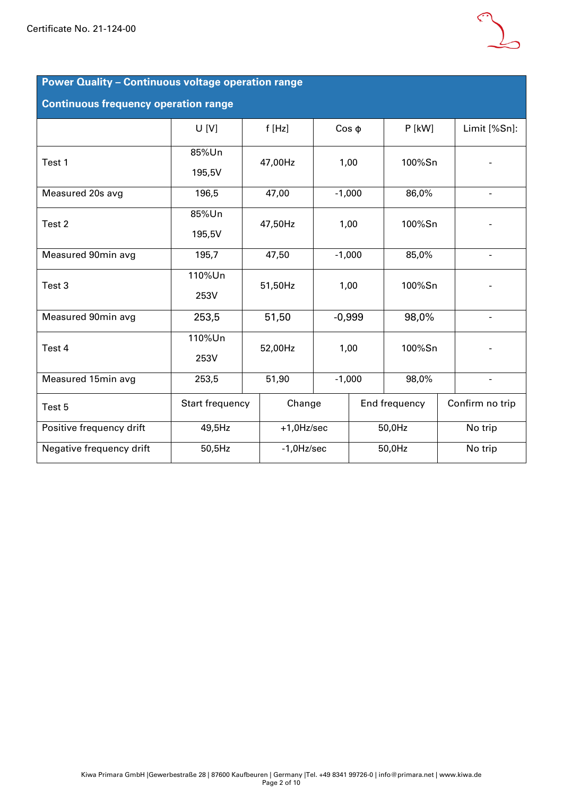

### **Power Quality – Continuous voltage operation range**

#### **Continuous frequency operation range**

|                          | U[V]            | f[Hz]         |               | $Cos \phi$ | $P$ [kW]      |  | Limit [%Sn]:             |  |
|--------------------------|-----------------|---------------|---------------|------------|---------------|--|--------------------------|--|
| Test 1                   | 85%Un           | 47,00Hz       |               | 1,00       | 100%Sn        |  |                          |  |
|                          | 195,5V          |               |               |            |               |  |                          |  |
| Measured 20s avg         | 196,5           | 47,00         |               | $-1,000$   | 86,0%         |  |                          |  |
| Test 2                   | 85%Un           | 47,50Hz       |               | 1,00       | 100%Sn        |  |                          |  |
|                          | 195,5V          |               |               |            |               |  |                          |  |
| Measured 90min avg       | 195,7           | 47,50         |               | $-1,000$   | 85,0%         |  |                          |  |
| Test 3                   | 110%Un          | 51,50Hz       |               | 1,00       | 100%Sn        |  |                          |  |
|                          | 253V            |               |               |            |               |  |                          |  |
| Measured 90min avg       | 253,5           | 51,50         |               | $-0,999$   | 98,0%         |  | $\overline{\phantom{a}}$ |  |
| Test 4                   | 110%Un          | 52,00Hz       |               | 1,00       | 100%Sn        |  |                          |  |
|                          | 253V            |               |               |            |               |  |                          |  |
| Measured 15min avg       | 253,5           | 51,90         |               | $-1,000$   | 98,0%         |  | $\overline{\phantom{a}}$ |  |
| Test 5                   | Start frequency |               | Change        |            | End frequency |  | Confirm no trip          |  |
| Positive frequency drift | 49,5Hz          | $+1,0$ Hz/sec |               | 50,0Hz     |               |  | No trip                  |  |
| Negative frequency drift | 50,5Hz          |               | $-1,0$ Hz/sec |            | 50,0Hz        |  | No trip                  |  |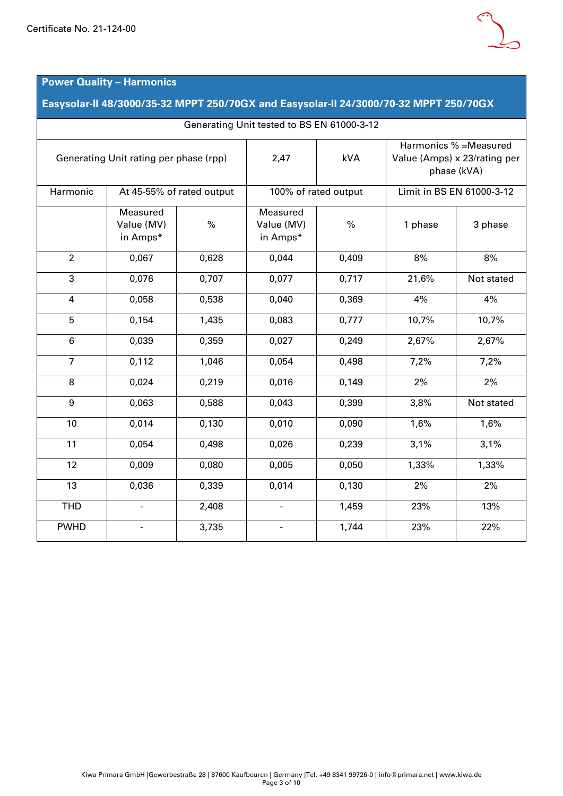

## **Power Quality – Harmonics**

**Easysolar-II 48/3000/35-32 MPPT 250/70GX and Easysolar-II 24/3000/70-32 MPPT 250/70GX**

| Generating Unit tested to BS EN 61000-3-12 |                                    |                           |                                            |                      |         |                                                                       |  |  |  |  |
|--------------------------------------------|------------------------------------|---------------------------|--------------------------------------------|----------------------|---------|-----------------------------------------------------------------------|--|--|--|--|
| Generating Unit rating per phase (rpp)     |                                    |                           | 2,47                                       | kVA                  |         | Harmonics % = Measured<br>Value (Amps) x 23/rating per<br>phase (kVA) |  |  |  |  |
| Harmonic                                   |                                    | At 45-55% of rated output |                                            | 100% of rated output |         | Limit in BS EN 61000-3-12                                             |  |  |  |  |
|                                            | Measured<br>Value (MV)<br>in Amps* | $\%$                      | Measured<br>Value (MV)<br>$\%$<br>in Amps* |                      | 1 phase | 3 phase                                                               |  |  |  |  |
| $\overline{2}$                             | 0,067                              | 0,628                     | 0,044                                      | 0,409                | 8%      | 8%                                                                    |  |  |  |  |
| 3                                          | 0,076                              | 0,707                     | 0,077                                      | 0,717                | 21,6%   | Not stated                                                            |  |  |  |  |
| $\overline{4}$                             | 0,058                              | 0,538                     | 0,040                                      | 0,369                | 4%      | 4%                                                                    |  |  |  |  |
| 5                                          | 0,154                              | 1,435                     | 0,083                                      | 0,777                | 10,7%   | 10,7%                                                                 |  |  |  |  |
| $6\phantom{1}$                             | 0,039                              | 0,359                     | 0,027                                      | 0,249                | 2,67%   | 2,67%                                                                 |  |  |  |  |
| $\overline{7}$                             | 0,112                              | 1,046                     | 0,054                                      | 0,498                | 7,2%    | 7,2%                                                                  |  |  |  |  |
| 8                                          | 0,024                              | 0,219                     | 0,016                                      | 0,149                | 2%      | 2%                                                                    |  |  |  |  |
| 9                                          | 0,063                              | 0,588                     | 0,043                                      | 0,399                | 3,8%    | Not stated                                                            |  |  |  |  |
| 10                                         | 0,014                              | 0,130                     | 0,010                                      | 0,090                | 1,6%    | 1,6%                                                                  |  |  |  |  |
| 11                                         | 0,054                              | 0,498                     | 0,026                                      | 0,239                | 3,1%    | 3,1%                                                                  |  |  |  |  |
| 12                                         | 0,009                              | 0,080                     | 0,005                                      | 0,050                | 1,33%   | 1,33%                                                                 |  |  |  |  |
| 13                                         | 0,036                              | 0,339                     | 0,014                                      | 0,130                | 2%      | 2%                                                                    |  |  |  |  |
| <b>THD</b>                                 | $\overline{\phantom{a}}$           | 2,408                     | $\blacksquare$                             | 1,459                | 23%     | 13%                                                                   |  |  |  |  |
| <b>PWHD</b>                                | $\overline{\phantom{a}}$           | 3,735                     | $\overline{\phantom{a}}$                   | 1,744                | 23%     | 22%                                                                   |  |  |  |  |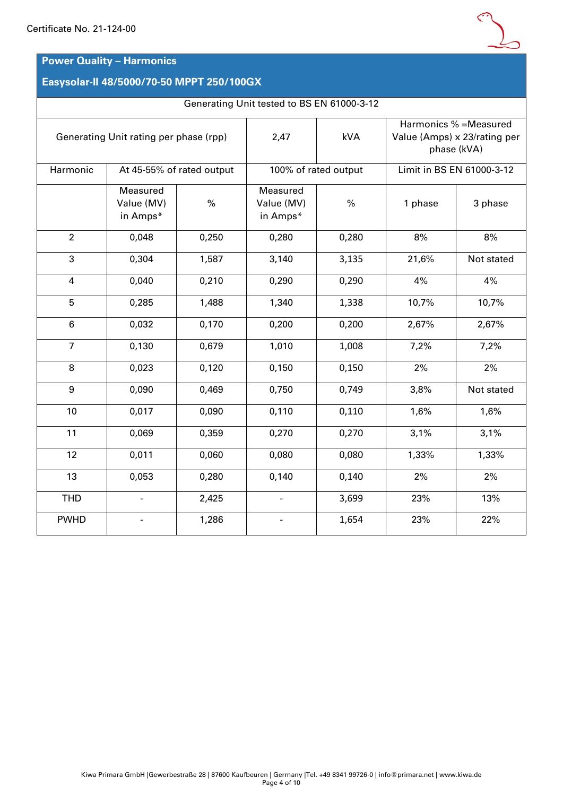### **Power Quality – Harmonics**

### **Easysolar-II 48/5000/70-50 MPPT 250/100GX**

#### Generating Unit tested to BS EN 61000-3-12

| Generating Unit rating per phase (rpp) |                                    |       | 2,47                               | kVA                  | Harmonics % = Measured<br>Value (Amps) x 23/rating per<br>phase (kVA) |                           |  |  |
|----------------------------------------|------------------------------------|-------|------------------------------------|----------------------|-----------------------------------------------------------------------|---------------------------|--|--|
| Harmonic                               | At 45-55% of rated output          |       |                                    | 100% of rated output |                                                                       | Limit in BS EN 61000-3-12 |  |  |
|                                        | Measured<br>Value (MV)<br>in Amps* | $\%$  | Measured<br>Value (MV)<br>in Amps* | $\frac{0}{0}$        |                                                                       | 3 phase                   |  |  |
| $\overline{2}$                         | 0,048                              | 0,250 | 0,280                              | 0,280                | 8%                                                                    | 8%                        |  |  |
| 3                                      | 0,304                              | 1,587 | 3,140                              | 3,135                | 21,6%                                                                 | Not stated                |  |  |
| $\overline{4}$                         | 0,040                              | 0,210 | 0,290                              | 0,290                | 4%                                                                    | 4%                        |  |  |
| 5                                      | 0,285                              | 1,488 | 1,340                              | 1,338                | 10,7%                                                                 | 10,7%                     |  |  |
| $6\phantom{1}$                         | 0,032                              | 0,170 | 0,200                              | 0,200                | 2,67%                                                                 | 2,67%                     |  |  |
| $\overline{7}$                         | 0,130                              | 0,679 | 1,010                              | 1,008                | 7,2%                                                                  | 7,2%                      |  |  |
| 8                                      | 0,023                              | 0,120 | 0,150                              | 0,150                | 2%                                                                    | 2%                        |  |  |
| 9                                      | 0,090                              | 0,469 | 0,750                              | 0,749                | 3,8%                                                                  | Not stated                |  |  |
| 10                                     | 0,017                              | 0,090 | 0,110                              | 0,110                | 1,6%                                                                  | 1,6%                      |  |  |
| 11                                     | 0,069                              | 0,359 | 0,270                              | 0,270                | 3,1%                                                                  | 3,1%                      |  |  |
| 12                                     | 0,011                              | 0,060 | 0,080                              | 0,080                | 1,33%                                                                 | 1,33%                     |  |  |
| 13                                     | 0,053                              | 0,280 | 0,140                              | 0,140                | 2%                                                                    | 2%                        |  |  |
| <b>THD</b>                             |                                    | 2,425 | $\frac{1}{2}$                      | 3,699                | 23%                                                                   | 13%                       |  |  |
| <b>PWHD</b>                            |                                    | 1,286 | $\blacksquare$                     | 1,654                | 23%                                                                   | 22%                       |  |  |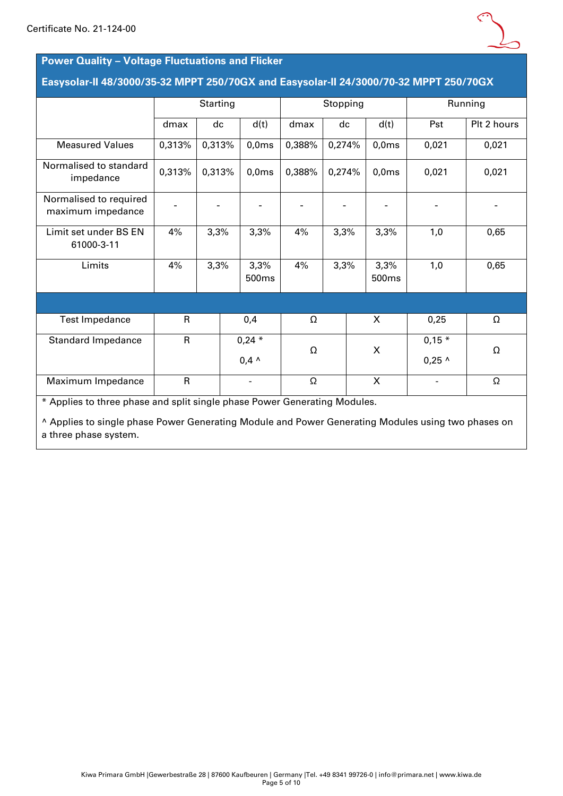

#### **Power Quality – Voltage Fluctuations and Flicker**

#### **Easysolar-II 48/3000/35-32 MPPT 250/70GX and Easysolar-II 24/3000/70-32 MPPT 250/70GX**

|                                                                           |              | Starting |                |        | Stopping |                           |               | Running     |
|---------------------------------------------------------------------------|--------------|----------|----------------|--------|----------|---------------------------|---------------|-------------|
|                                                                           | dmax         | dc       | d(t)           | dmax   | dc       | d(t)                      | Pst           | Plt 2 hours |
| <b>Measured Values</b>                                                    | 0,313%       | 0,313%   | 0,0ms          | 0,388% | 0,274%   | 0,0ms                     | 0,021         | 0,021       |
| Normalised to standard<br>impedance                                       | 0,313%       | 0,313%   | 0,0ms          | 0,388% | 0,274%   | 0,0ms                     | 0,021         | 0,021       |
| Normalised to required<br>maximum impedance                               |              |          |                |        |          |                           |               |             |
| Limit set under BS EN<br>61000-3-11                                       | 4%           | 3,3%     | 3,3%           | 4%     | 3,3%     | 3,3%                      | 1,0           | 0,65        |
| Limits                                                                    | 4%           | 3,3%     | 3,3%<br>500ms  | 4%     | 3,3%     | 3,3%<br>500 <sub>ms</sub> | 1,0           | 0,65        |
|                                                                           |              |          |                |        |          |                           |               |             |
| <b>Test Impedance</b>                                                     | $\mathsf{R}$ |          | 0,4            | Ω      |          | X                         | 0,25          | Ω           |
| <b>Standard Impedance</b>                                                 | $\mathsf{R}$ |          | $0,24*$        | Ω      |          | X                         | $0,15*$       | Ω           |
|                                                                           |              |          | $0,4 \wedge$   |        |          |                           | $0,25$ ^      |             |
| Maximum Impedance                                                         | $\mathsf{R}$ |          | $\blacksquare$ | Ω      |          |                           | $\frac{1}{2}$ | Ω           |
| * Applies to three phase and split single phase Power Generating Modules. |              |          |                |        |          |                           |               |             |

^ Applies to single phase Power Generating Module and Power Generating Modules using two phases on a three phase system.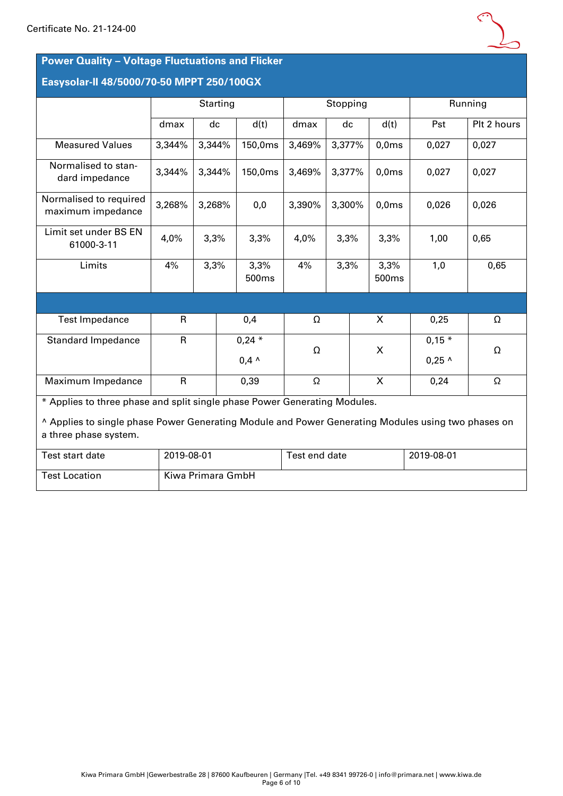

### **Power Quality – Voltage Fluctuations and Flicker**

# **Easysolar-II 48/5000/70-50 MPPT 250/100GX**

Test Location Kiwa Primara GmbH

|                                                                                                                                                                                                          |              | Starting |  |                          |               | Stopping |  |               |                     | Running     |  |
|----------------------------------------------------------------------------------------------------------------------------------------------------------------------------------------------------------|--------------|----------|--|--------------------------|---------------|----------|--|---------------|---------------------|-------------|--|
|                                                                                                                                                                                                          | dmax         | dc       |  | d(t)                     | dmax          | dc       |  | d(t)          | Pst                 | Plt 2 hours |  |
| <b>Measured Values</b>                                                                                                                                                                                   | 3,344%       | 3,344%   |  | 150,0ms                  | 3,469%        | 3,377%   |  | 0,0ms         | 0,027               | 0,027       |  |
| Normalised to stan-<br>dard impedance                                                                                                                                                                    | 3,344%       | 3,344%   |  | 150,0ms                  | 3,469%        | 3,377%   |  | 0,0ms         | 0,027               | 0,027       |  |
| Normalised to required<br>maximum impedance                                                                                                                                                              | 3,268%       | 3,268%   |  | 0,0                      | 3,390%        | 3,300%   |  | 0,0ms         | 0,026               | 0,026       |  |
| Limit set under BS EN<br>61000-3-11                                                                                                                                                                      | 4,0%         | 3,3%     |  | 3,3%                     | 4,0%          | 3,3%     |  | 3,3%          | 1,00                | 0,65        |  |
| Limits                                                                                                                                                                                                   | 4%           | 3,3%     |  | 3,3%<br>500ms            | 4%            | 3,3%     |  | 3,3%<br>500ms | 1,0                 | 0,65        |  |
|                                                                                                                                                                                                          |              |          |  |                          |               |          |  |               |                     |             |  |
| <b>Test Impedance</b>                                                                                                                                                                                    | R            |          |  | 0,4                      | Ω             |          |  | X             | 0,25                | Ω           |  |
| <b>Standard Impedance</b>                                                                                                                                                                                | $\mathsf{R}$ |          |  | $0,24$ *<br>$0.4 \wedge$ | Ω             |          |  | X             | $0,15*$<br>$0,25$ ^ | Ω           |  |
| Maximum Impedance                                                                                                                                                                                        | $\mathsf{R}$ |          |  | 0,39                     | Ω             |          |  | X             | 0,24                | Ω           |  |
| * Applies to three phase and split single phase Power Generating Modules.<br>A Applies to single phase Power Generating Module and Power Generating Modules using two phases on<br>a three phase system. |              |          |  |                          |               |          |  |               |                     |             |  |
| Test start date                                                                                                                                                                                          | 2019-08-01   |          |  |                          | Test end date |          |  |               | 2019-08-01          |             |  |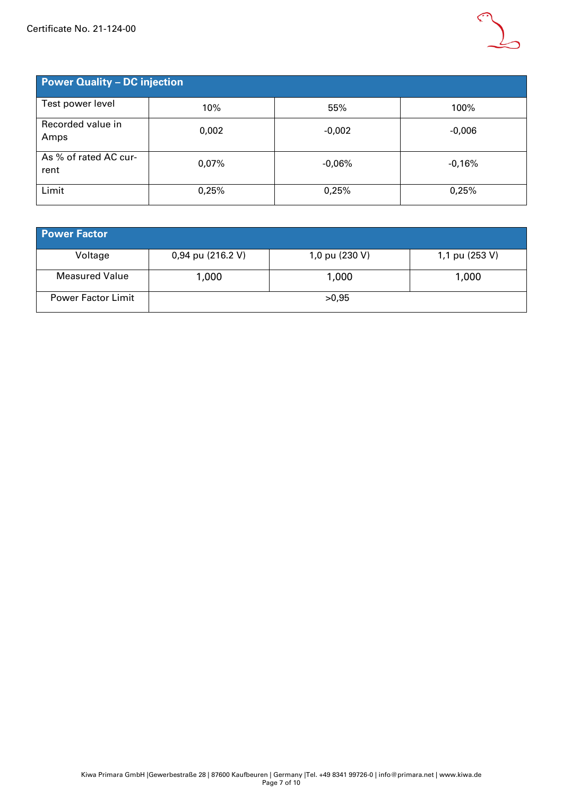

| <b>Power Quality - DC injection</b> |       |          |          |  |  |  |  |  |  |  |
|-------------------------------------|-------|----------|----------|--|--|--|--|--|--|--|
| Test power level                    | 10%   | 55%      | 100%     |  |  |  |  |  |  |  |
| Recorded value in<br>Amps           | 0,002 | $-0,002$ | $-0,006$ |  |  |  |  |  |  |  |
| As % of rated AC cur-<br>rent       | 0,07% | $-0,06%$ | -0,16%   |  |  |  |  |  |  |  |
| Limit                               | 0,25% | 0,25%    | 0,25%    |  |  |  |  |  |  |  |

| <b>Power Factor</b>       |                   |                |                |  |  |  |  |  |  |  |
|---------------------------|-------------------|----------------|----------------|--|--|--|--|--|--|--|
| Voltage                   | 0,94 pu (216.2 V) | 1,0 pu (230 V) | 1,1 pu (253 V) |  |  |  |  |  |  |  |
| <b>Measured Value</b>     | 1,000             | 1,000          | 1,000          |  |  |  |  |  |  |  |
| <b>Power Factor Limit</b> |                   | >0,95          |                |  |  |  |  |  |  |  |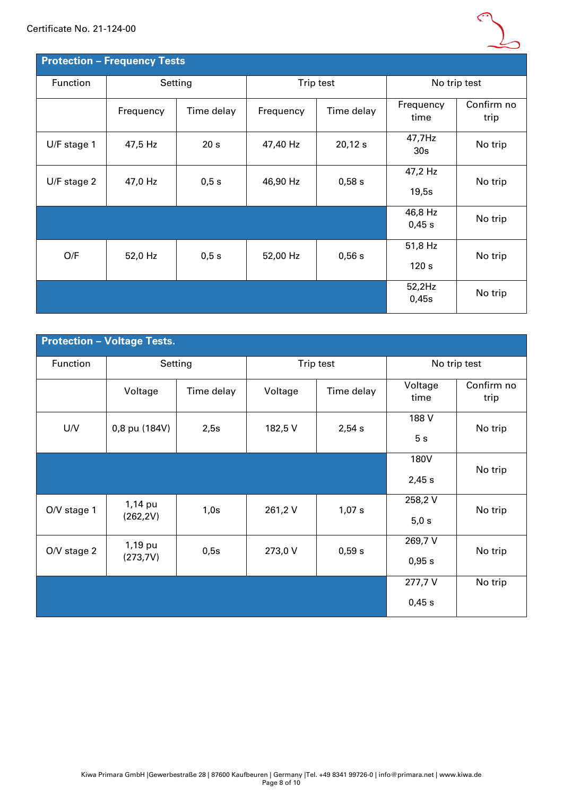

| <b>Protection - Frequency Tests</b> |           |                 |           |            |                             |                    |  |  |  |  |  |
|-------------------------------------|-----------|-----------------|-----------|------------|-----------------------------|--------------------|--|--|--|--|--|
| Function                            |           | Setting         |           | Trip test  | No trip test                |                    |  |  |  |  |  |
|                                     | Frequency | Time delay      | Frequency | Time delay | Frequency<br>time           | Confirm no<br>trip |  |  |  |  |  |
| U/F stage 1                         | 47,5 Hz   | 20 <sub>s</sub> | 47,40 Hz  | 20,12s     | 47,7Hz<br>30 <sub>s</sub>   | No trip            |  |  |  |  |  |
| $U/F$ stage 2                       | 47,0 Hz   | 0,5 s           | 46,90 Hz  | 0,58 s     | 47,2 Hz<br>19,5s            | No trip            |  |  |  |  |  |
|                                     |           |                 |           |            | 46,8 Hz<br>0,45 s           | No trip            |  |  |  |  |  |
| O/F                                 | 52,0 Hz   | 0,5s            | 52,00 Hz  | 0,56 s     | 51,8 Hz<br>120 <sub>s</sub> | No trip            |  |  |  |  |  |
|                                     |           |                 |           |            | 52,2Hz<br>0,45s             | No trip            |  |  |  |  |  |

|               | <b>Protection - Voltage Tests.</b> |            |         |            |                  |                    |  |
|---------------|------------------------------------|------------|---------|------------|------------------|--------------------|--|
| Function      | Setting                            |            |         | Trip test  | No trip test     |                    |  |
|               | Voltage                            | Time delay | Voltage | Time delay | Voltage<br>time  | Confirm no<br>trip |  |
| U/V           | 0,8 pu (184V)                      | 2,5s       | 182,5V  | 2,54 s     | 188 V<br>5s      | No trip            |  |
|               |                                    |            |         |            | 180V<br>2,45s    | No trip            |  |
| $O/V$ stage 1 | 1,14 pu<br>(262, 2V)               | 1,0s       | 261,2V  | 1,07 s     | 258,2V<br>5,0 s  | No trip            |  |
| O/V stage 2   | 1,19 pu<br>(273,7V)                | 0,5s       | 273,0 V | 0,59s      | 269,7V<br>0,95 s | No trip            |  |
|               |                                    |            |         |            | 277,7V<br>0,45 s | No trip            |  |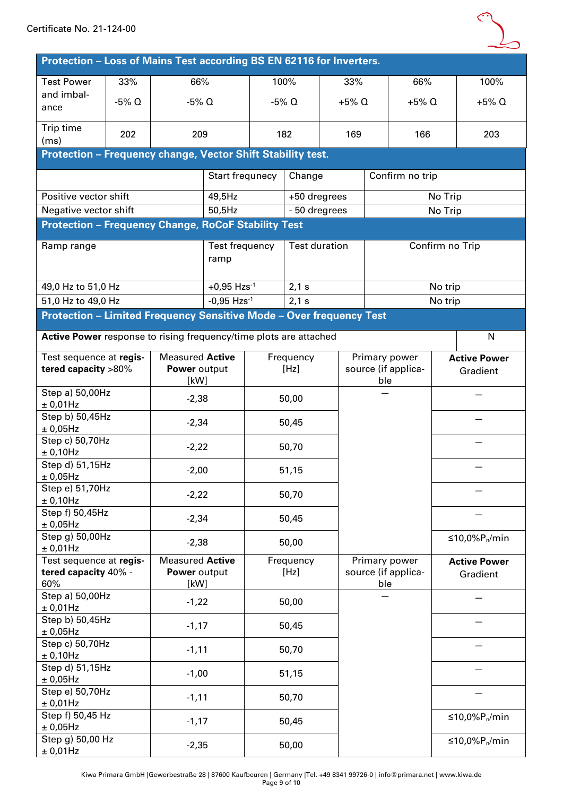

| Protection - Loss of Mains Test according BS EN 62116 for Inverters. |                                                                                                  |                                                |                           |                   |                      |                                             |          |                 |                                      |                                 |                                 |
|----------------------------------------------------------------------|--------------------------------------------------------------------------------------------------|------------------------------------------------|---------------------------|-------------------|----------------------|---------------------------------------------|----------|-----------------|--------------------------------------|---------------------------------|---------------------------------|
| <b>Test Power</b>                                                    | 33%                                                                                              | 66%                                            |                           |                   | 100%                 |                                             | 33%      |                 | 66%                                  |                                 | 100%                            |
| and imbal-<br>ance                                                   | $-5\%$ Q                                                                                         | $-5\%$ Q                                       |                           |                   | $-5%$ Q              |                                             | $+5\%$ Q |                 | $+5\%$ Q                             |                                 | $+5\%$ Q                        |
| Trip time<br>(ms)                                                    | 202                                                                                              | 209                                            |                           |                   | 182                  |                                             | 169      |                 | 166                                  |                                 | 203                             |
| Protection - Frequency change, Vector Shift Stability test.          |                                                                                                  |                                                |                           |                   |                      |                                             |          |                 |                                      |                                 |                                 |
|                                                                      |                                                                                                  |                                                | Start frequnecy           |                   |                      | Change                                      |          | Confirm no trip |                                      |                                 |                                 |
| Positive vector shift                                                |                                                                                                  |                                                | 49,5Hz                    |                   | +50 dregrees         |                                             |          |                 |                                      | No Trip                         |                                 |
| Negative vector shift                                                |                                                                                                  |                                                | 50,5Hz                    |                   | - 50 dregrees        |                                             |          |                 |                                      | No Trip                         |                                 |
| <b>Protection - Frequency Change, RoCoF Stability Test</b>           |                                                                                                  |                                                |                           |                   |                      |                                             |          |                 |                                      |                                 |                                 |
| Ramp range                                                           |                                                                                                  |                                                | Test frequency<br>ramp    |                   | <b>Test duration</b> |                                             |          |                 | Confirm no Trip                      |                                 |                                 |
| 49,0 Hz to 51,0 Hz                                                   |                                                                                                  |                                                | $+0,95$ Hzs <sup>-1</sup> |                   | 2,1 s                |                                             |          |                 |                                      | No trip                         |                                 |
| 51,0 Hz to 49,0 Hz                                                   |                                                                                                  |                                                | $-0,95$ Hzs $^{-1}$       |                   | 2,1 s                |                                             |          |                 |                                      | No trip                         |                                 |
| Protection - Limited Frequency Sensitive Mode - Over frequency Test  |                                                                                                  |                                                |                           |                   |                      |                                             |          |                 |                                      |                                 |                                 |
| Active Power response to rising frequency/time plots are attached    |                                                                                                  |                                                |                           |                   |                      |                                             |          |                 |                                      |                                 | N                               |
|                                                                      | <b>Measured Active</b><br>Test sequence at regis-<br>tered capacity >80%<br>Power output<br>[kW] |                                                |                           | Frequency<br>[Hz] |                      | Primary power<br>source (if applica-<br>ble |          |                 |                                      | <b>Active Power</b><br>Gradient |                                 |
| Step a) 50,00Hz<br>± 0,01Hz                                          |                                                                                                  | $-2,38$                                        |                           |                   | 50,00                |                                             |          |                 |                                      |                                 |                                 |
| Step b) 50,45Hz<br>± 0,05Hz                                          |                                                                                                  | $-2,34$                                        |                           |                   | 50,45                |                                             |          |                 |                                      |                                 |                                 |
| Step c) 50,70Hz<br>± 0,10Hz                                          |                                                                                                  | $-2,22$                                        |                           | 50,70             |                      |                                             |          |                 |                                      |                                 |                                 |
| Step d) 51,15Hz<br>± 0,05Hz                                          |                                                                                                  | $-2,00$                                        |                           |                   | 51,15                |                                             |          |                 |                                      |                                 |                                 |
| Step e) 51,70Hz<br>$\pm$ 0,10Hz                                      |                                                                                                  | $-2,22$                                        |                           |                   | 50,70                |                                             |          |                 |                                      |                                 |                                 |
| Step f) 50,45Hz<br>$\pm$ 0,05Hz                                      |                                                                                                  | $-2,34$                                        |                           |                   | 50,45                |                                             |          |                 |                                      |                                 |                                 |
| Step g) 50,00Hz<br>± 0,01Hz                                          |                                                                                                  | $-2,38$                                        |                           |                   | 50,00                |                                             |          |                 |                                      |                                 | ≤10,0% $P_n/m$ in               |
| Test sequence at regis-<br>tered capacity 40% -<br>60%               |                                                                                                  | <b>Measured Active</b><br>Power output<br>[kW] |                           |                   | Frequency<br>[Hz]    |                                             |          | ble             | Primary power<br>source (if applica- |                                 | <b>Active Power</b><br>Gradient |
| Step a) 50,00Hz<br>± 0,01Hz                                          |                                                                                                  | $-1,22$                                        |                           |                   | 50,00                |                                             |          |                 |                                      |                                 |                                 |
| Step b) 50,45Hz<br>± 0,05Hz                                          |                                                                                                  | $-1,17$                                        |                           |                   | 50,45                |                                             |          |                 |                                      |                                 |                                 |
| Step c) 50,70Hz<br>± 0,10Hz                                          |                                                                                                  | $-1,11$                                        |                           |                   | 50,70                |                                             |          |                 |                                      |                                 |                                 |
| Step d) 51,15Hz<br>± 0,05Hz                                          |                                                                                                  | $-1,00$                                        |                           |                   | 51,15                |                                             |          |                 |                                      |                                 |                                 |
| Step e) 50,70Hz<br>± 0,01Hz                                          | $-1,11$                                                                                          |                                                |                           |                   | 50,70                |                                             |          |                 |                                      |                                 |                                 |
| Step f) 50,45 Hz<br>± 0,05Hz                                         |                                                                                                  | $-1,17$                                        |                           |                   | 50,45                |                                             |          |                 |                                      |                                 | ≤10,0% $P_n/m$ in               |
| Step g) 50,00 Hz<br>± 0,01Hz                                         |                                                                                                  | $-2,35$                                        |                           |                   | 50,00                |                                             |          |                 |                                      | ≤10,0% $P_n/m$ in               |                                 |